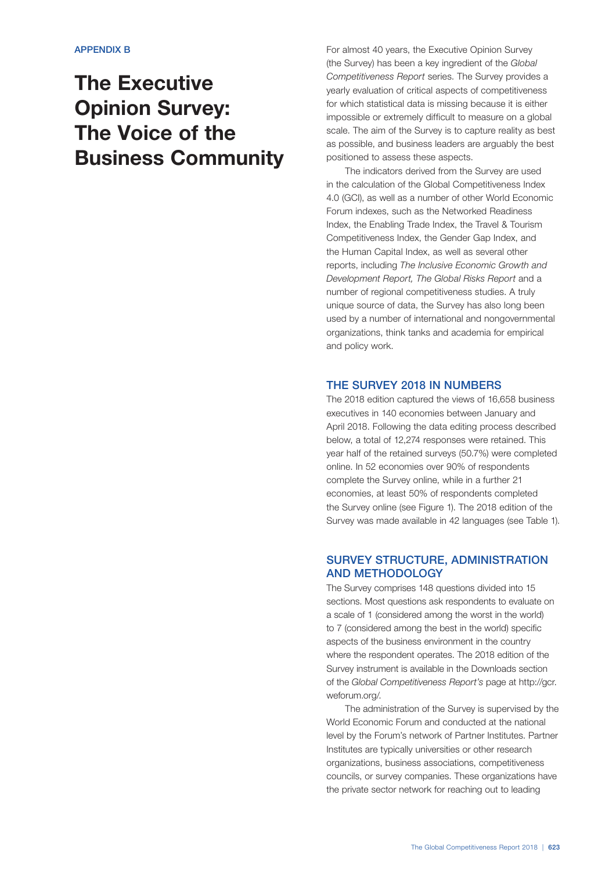# The Executive Opinion Survey: The Voice of the Business Community

For almost 40 years, the Executive Opinion Survey (the Survey) has been a key ingredient of the *Global Competitiveness Report* series. The Survey provides a yearly evaluation of critical aspects of competitiveness for which statistical data is missing because it is either impossible or extremely difficult to measure on a global scale. The aim of the Survey is to capture reality as best as possible, and business leaders are arguably the best positioned to assess these aspects.

The indicators derived from the Survey are used in the calculation of the Global Competitiveness Index 4.0 (GCI), as well as a number of other World Economic Forum indexes, such as the Networked Readiness Index, the Enabling Trade Index, the Travel & Tourism Competitiveness Index, the Gender Gap Index, and the Human Capital Index, as well as several other reports, including *The Inclusive Economic Growth and Development Report, The Global Risks Report* and a number of regional competitiveness studies. A truly unique source of data, the Survey has also long been used by a number of international and nongovernmental organizations, think tanks and academia for empirical and policy work.

## THE SURVEY 2018 IN NUMBERS

The 2018 edition captured the views of 16,658 business executives in 140 economies between January and April 2018. Following the data editing process described below, a total of 12,274 responses were retained. This year half of the retained surveys (50.7%) were completed online. In 52 economies over 90% of respondents complete the Survey online, while in a further 21 economies, at least 50% of respondents completed the Survey online (see Figure 1). The 2018 edition of the Survey was made available in 42 languages (see Table 1).

# SURVEY STRUCTURE, ADMINISTRATION AND METHODOLOGY

The Survey comprises 148 questions divided into 15 sections. Most questions ask respondents to evaluate on a scale of 1 (considered among the worst in the world) to 7 (considered among the best in the world) specific aspects of the business environment in the country where the respondent operates. The 2018 edition of the Survey instrument is available in the Downloads section of the *Global Competitiveness Report's* page at http://gcr. weforum.org/.

The administration of the Survey is supervised by the World Economic Forum and conducted at the national level by the Forum's network of Partner Institutes. Partner Institutes are typically universities or other research organizations, business associations, competitiveness councils, or survey companies. These organizations have the private sector network for reaching out to leading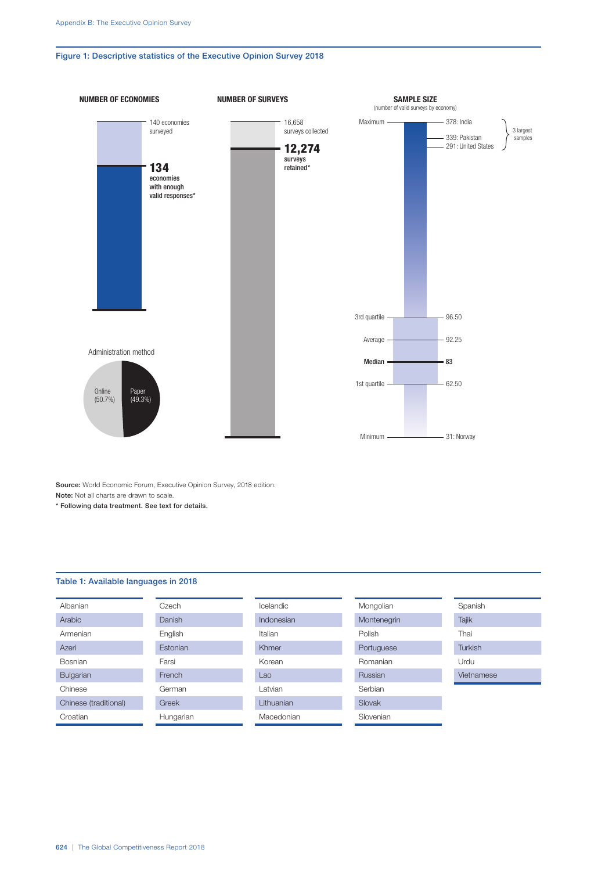### Figure 1: Descriptive statistics of the Executive Opinion Survey 2018



Source: World Economic Forum, Executive Opinion Survey, 2018 edition. Note: Not all charts are drawn to scale.

\* Following data treatment. See text for details.

### Table 1: Available languages in 2018

l,

| Hungarian |
|-----------|
| Estonian  |

| Icelandic  |  |
|------------|--|
| Indonesian |  |
| Italian    |  |
| Khmer      |  |
| Korean     |  |
| Lao        |  |
| Latvian    |  |
| Lithuanian |  |
| Macedonian |  |

| Mongolian   |
|-------------|
| Montenegrin |
| Polish      |
| Portuguese  |
| Romanian    |
| Russian     |
| Serbian     |
| Slovak      |
| Slovenian   |

| Spanish    |
|------------|
| Tajik      |
| Thai       |
| Turkish    |
| Urdu       |
| Vietnamese |
|            |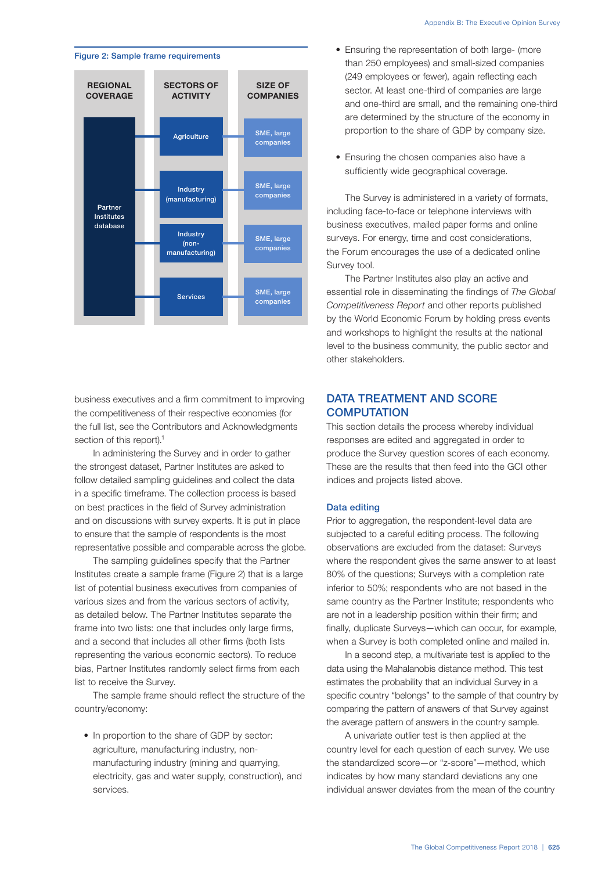



business executives and a firm commitment to improving the competitiveness of their respective economies (for the full list, see the Contributors and Acknowledgments section of this report).<sup>1</sup>

In administering the Survey and in order to gather the strongest dataset, Partner Institutes are asked to follow detailed sampling guidelines and collect the data in a specific timeframe. The collection process is based on best practices in the field of Survey administration and on discussions with survey experts. It is put in place to ensure that the sample of respondents is the most representative possible and comparable across the globe.

The sampling guidelines specify that the Partner Institutes create a sample frame (Figure 2) that is a large list of potential business executives from companies of various sizes and from the various sectors of activity, as detailed below. The Partner Institutes separate the frame into two lists: one that includes only large firms, and a second that includes all other firms (both lists representing the various economic sectors). To reduce bias, Partner Institutes randomly select firms from each list to receive the Survey.

The sample frame should reflect the structure of the country/economy:

• In proportion to the share of GDP by sector: agriculture, manufacturing industry, nonmanufacturing industry (mining and quarrying, electricity, gas and water supply, construction), and services.

- Ensuring the representation of both large- (more than 250 employees) and small-sized companies (249 employees or fewer), again reflecting each sector. At least one-third of companies are large and one-third are small, and the remaining one-third are determined by the structure of the economy in proportion to the share of GDP by company size.
- Ensuring the chosen companies also have a sufficiently wide geographical coverage.

The Survey is administered in a variety of formats, including face-to-face or telephone interviews with business executives, mailed paper forms and online surveys. For energy, time and cost considerations, the Forum encourages the use of a dedicated online Survey tool.

The Partner Institutes also play an active and essential role in disseminating the findings of *The Global Competitiveness Report* and other reports published by the World Economic Forum by holding press events and workshops to highlight the results at the national level to the business community, the public sector and other stakeholders.

# DATA TREATMENT AND SCORE **COMPUTATION**

This section details the process whereby individual responses are edited and aggregated in order to produce the Survey question scores of each economy. These are the results that then feed into the GCI other indices and projects listed above.

#### Data editing

Prior to aggregation, the respondent-level data are subjected to a careful editing process. The following observations are excluded from the dataset: Surveys where the respondent gives the same answer to at least 80% of the questions; Surveys with a completion rate inferior to 50%; respondents who are not based in the same country as the Partner Institute; respondents who are not in a leadership position within their firm; and finally, duplicate Surveys—which can occur, for example, when a Survey is both completed online and mailed in.

In a second step, a multivariate test is applied to the data using the Mahalanobis distance method. This test estimates the probability that an individual Survey in a specific country "belongs" to the sample of that country by comparing the pattern of answers of that Survey against the average pattern of answers in the country sample.

A univariate outlier test is then applied at the country level for each question of each survey. We use the standardized score—or "z-score"—method, which indicates by how many standard deviations any one individual answer deviates from the mean of the country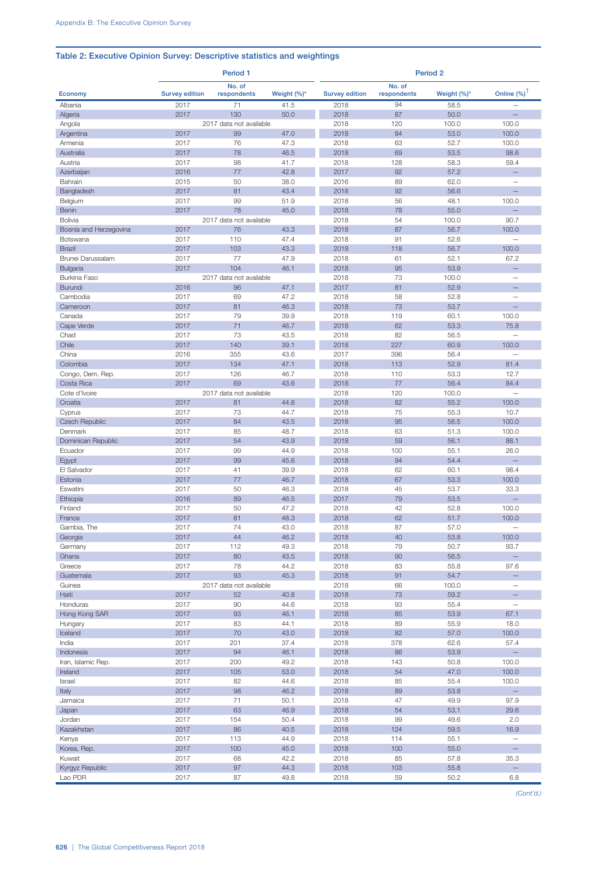## Table 2: Executive Opinion Survey: Descriptive statistics and weightings

|                                    | Period <sub>1</sub>   |                               |              | Period <sub>2</sub>   |                       |               |                          |
|------------------------------------|-----------------------|-------------------------------|--------------|-----------------------|-----------------------|---------------|--------------------------|
| <b>Economy</b>                     | <b>Survey edition</b> | No. of<br>respondents         | Weight (%)*  | <b>Survey edition</b> | No. of<br>respondents | Weight (%)*   | Online $(\%)^{\dagger}$  |
| Albania                            | 2017                  | 71                            | 41.5         | 2018                  | 94                    | 58.5          |                          |
| Algeria                            | 2017                  | 130                           | 50.0         | 2018                  | 87                    | 50.0          |                          |
| Angola<br>Argentina                | 2017                  | 2017 data not available<br>99 | 47.0         | 2018<br>2018          | 120<br>84             | 100.0<br>53.0 | 100.0                    |
| Armenia                            | 2017                  | 76                            | 47.3         | 2018                  | 63                    | 52.7          | 100.0<br>100.0           |
| Australia                          | 2017                  | 78                            | 46.5         | 2018                  | 69                    | 53.5          | 98.6                     |
| Austria                            | 2017                  | 98                            | 41.7         | 2018                  | 128                   | 58.3          | 59.4                     |
| Azerbaijan                         | 2016                  | 77                            | 42.8         | 2017                  | 92                    | 57.2          |                          |
| Bahrain                            | 2015                  | 50                            | 38.0         | 2016                  | 89                    | 62.0          |                          |
| Bangladesh                         | 2017                  | 81                            | 43.4         | 2018                  | 92                    | 56.6          |                          |
| Belgium                            | 2017                  | 99                            | 51.9         | 2018                  | 56                    | 48.1          | 100.0                    |
| Benin                              | 2017                  | 78                            | 45.0         | 2018                  | 78                    | 55.0          |                          |
| Bolivia                            |                       | 2017 data not available       |              | 2018                  | 54                    | 100.0         | 90.7                     |
| Bosnia and Herzegovina<br>Botswana | 2017<br>2017          | 76<br>110                     | 43.3<br>47.4 | 2018<br>2018          | 87<br>91              | 56.7          | 100.0                    |
| <b>Brazil</b>                      | 2017                  | 103                           | 43.3         | 2018                  | 118                   | 52.6<br>56.7  | 100.0                    |
| Brunei Darussalam                  | 2017                  | 77                            | 47.9         | 2018                  | 61                    | 52.1          | 67.2                     |
| Bulgaria                           | 2017                  | 104                           | 46.1         | 2018                  | 95                    | 53.9          |                          |
| Burkina Faso                       |                       | 2017 data not available       |              | 2018                  | 73                    | 100.0         |                          |
| Burundi                            | 2016                  | 96                            | 47.1         | 2017                  | 81                    | 52.9          |                          |
| Cambodia                           | 2017                  | 69                            | 47.2         | 2018                  | 58                    | 52.8          |                          |
| Cameroon                           | 2017                  | 81                            | 46.3         | 2018                  | 73                    | 53.7          |                          |
| Canada                             | 2017                  | 79                            | 39.9         | 2018                  | 119                   | 60.1          | 100.0                    |
| Cape Verde                         | 2017                  | 71                            | 46.7         | 2018                  | 62                    | 53.3          | 75.8                     |
| Chad<br>Chile                      | 2017<br>2017          | 73<br>140                     | 43.5<br>39.1 | 2018<br>2018          | 82<br>227             | 56.5<br>60.9  | 100.0                    |
| China                              | 2016                  | 355                           | 43.6         | 2017                  | 396                   | 56.4          |                          |
| Colombia                           | 2017                  | 134                           | 47.1         | 2018                  | 113                   | 52.9          | 81.4                     |
| Congo, Dem. Rep.                   | 2017                  | 126                           | 46.7         | 2018                  | 110                   | 53.3          | 12.7                     |
| Costa Rica                         | 2017                  | 69                            | 43.6         | 2018                  | 77                    | 56.4          | 84.4                     |
| Cote d'Ivoire                      |                       | 2017 data not available       |              | 2018                  | 120                   | 100.0         |                          |
| Croatia                            | 2017                  | 81                            | 44.8         | 2018                  | 82                    | 55.2          | 100.0                    |
| Cyprus                             | 2017                  | 73                            | 44.7         | 2018                  | 75                    | 55.3          | 10.7                     |
| Czech Republic                     | 2017                  | 84                            | 43.5         | 2018                  | 95                    | 56.5          | 100.0                    |
| Denmark                            | 2017                  | 85                            | 48.7         | 2018                  | 63                    | 51.3          | 100.0                    |
| Dominican Republic<br>Ecuador      | 2017<br>2017          | 54<br>99                      | 43.9<br>44.9 | 2018<br>2018          | 59<br>100             | 56.1<br>55.1  | 88.1<br>26.0             |
| Egypt                              | 2017                  | 99                            | 45.6         | 2018                  | 94                    | 54.4          |                          |
| El Salvador                        | 2017                  | 41                            | 39.9         | 2018                  | 62                    | 60.1          | 98.4                     |
| <b>Estonia</b>                     | 2017                  | 77                            | 46.7         | 2018                  | 67                    | 53.3          | 100.0                    |
| Eswatini                           | 2017                  | 50                            | 46.3         | 2018                  | 45                    | 53.7          | 33.3                     |
| Ethiopia                           | 2016                  | 89                            | 46.5         | 2017                  | 79                    | 53.5          |                          |
| Finland                            | 2017                  | 50                            | 47.2         | 2018                  | 42                    | 52.8          | 100.0                    |
| France                             | 2017                  | 81                            | 48.3         | 2018                  | 62                    | 51.7          | 100.0                    |
| Gambia, The                        | 2017                  | 74                            | 43.0         | 2018                  | 87                    | 57.0          |                          |
| Georgia<br>Germany                 | 2017<br>2017          | 44<br>112                     | 46.2<br>49.3 | 2018<br>2018          | 40<br>79              | 53.8<br>50.7  | 100.0<br>93.7            |
| Ghana                              | 2017                  | 80                            | 43.5         | 2018                  | 90                    | 56.5          |                          |
| Greece                             | 2017                  | 78                            | 44.2         | 2018                  | 83                    | 55.8          | 97.6                     |
| Guatemala                          | 2017                  | 93                            | 45.3         | 2018                  | 91                    | 54.7          |                          |
| Guinea                             |                       | 2017 data not available       |              | 2018                  | 66                    | 100.0         | $\overline{\phantom{0}}$ |
| Haiti                              | 2017                  | 52                            | 40.8         | 2018                  | 73                    | 59.2          |                          |
| Honduras                           | 2017                  | 90                            | 44.6         | 2018                  | 93                    | 55.4          |                          |
| Hong Kong SAR                      | 2017                  | 93                            | 46.1         | 2018                  | 85                    | 53.9          | 67.1                     |
| Hungary                            | 2017                  | 83                            | 44.1         | 2018                  | 89                    | 55.9          | 18.0                     |
| Iceland                            | 2017                  | 70                            | 43.0         | 2018                  | 82                    | 57.0          | 100.0                    |
| India<br>Indonesia                 | 2017<br>2017          | 201<br>94                     | 37.4<br>46.1 | 2018<br>2018          | 378<br>86             | 62.6<br>53.9  | 57.4                     |
| Iran, Islamic Rep.                 | 2017                  | 200                           | 49.2         | 2018                  | 143                   | 50.8          | 100.0                    |
| Ireland                            | 2017                  | 105                           | 53.0         | 2018                  | 54                    | 47.0          | 100.0                    |
| Israel                             | 2017                  | 82                            | 44.6         | 2018                  | 85                    | 55.4          | 100.0                    |
| Italy                              | 2017                  | 98                            | 46.2         | 2018                  | 89                    | 53.8          |                          |
| Jamaica                            | 2017                  | 71                            | 50.1         | 2018                  | 47                    | 49.9          | 97.9                     |
| Japan                              | 2017                  | 63                            | 46.9         | 2018                  | 54                    | 53.1          | 29.6                     |
| Jordan                             | 2017                  | 154                           | 50.4         | 2018                  | 99                    | 49.6          | 2.0                      |
| Kazakhstan                         | 2017                  | 86                            | 40.5         | 2018                  | 124                   | 59.5          | 16.9                     |
| Kenya                              | 2017                  | 113                           | 44.9         | 2018                  | 114                   | 55.1          |                          |
| Korea, Rep.                        | 2017                  | 100                           | 45.0         | 2018                  | 100                   | 55.0          |                          |
| Kuwait<br>Kyrgyz Republic          | 2017<br>2017          | 68<br>97                      | 42.2<br>44.3 | 2018<br>2018          | 85<br>103             | 57.8<br>55.8  | 35.3                     |
| Lao PDR                            | 2017                  | 87                            | 49.8         | 2018                  | 59                    | 50.2          | 6.8                      |
|                                    |                       |                               |              |                       |                       |               |                          |

*(Cont'd.)*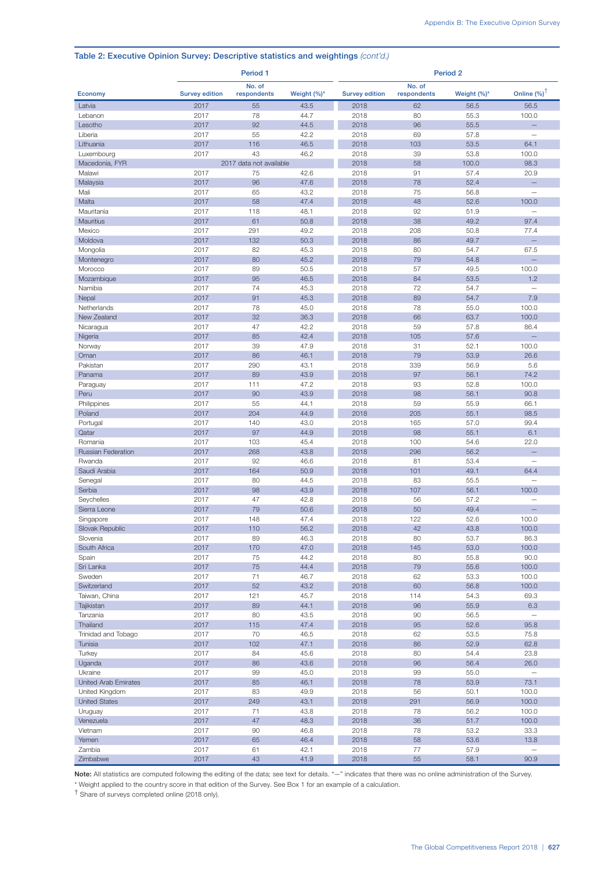|                              |                       | Period <sub>1</sub>     |              |                       | Period <sub>2</sub>   |              |                          |  |
|------------------------------|-----------------------|-------------------------|--------------|-----------------------|-----------------------|--------------|--------------------------|--|
| Economy                      | <b>Survey edition</b> | No. of<br>respondents   | Weight (%)*  | <b>Survey edition</b> | No. of<br>respondents | Weight (%)*  | Online $(\%)^{\dagger}$  |  |
| Latvia                       | 2017                  | 55                      | 43.5         | 2018                  | 62                    | 56.5         | 56.5                     |  |
| Lebanon                      | 2017                  | 78                      | 44.7         | 2018                  | 80                    | 55.3         | 100.0                    |  |
| Lesotho                      | 2017                  | 92                      | 44.5         | 2018                  | 96                    | 55.5         |                          |  |
| Liberia                      | 2017                  | 55                      | 42.2         | 2018                  | 69                    | 57.8         | $\overline{\phantom{0}}$ |  |
| Lithuania                    | 2017                  | 116                     | 46.5         | 2018                  | 103                   | 53.5         | 64.1                     |  |
| Luxembourg                   | 2017                  | 43                      | 46.2         | 2018                  | 39                    | 53.8         | 100.0                    |  |
| Macedonia, FYR               |                       | 2017 data not available |              | 2018                  | 58                    | 100.0        | 98.3                     |  |
| Malawi<br>Malaysia           | 2017<br>2017          | 75<br>96                | 42.6<br>47.6 | 2018<br>2018          | 91<br>78              | 57.4<br>52.4 | 20.9                     |  |
| Mali                         | 2017                  | 65                      | 43.2         | 2018                  | 75                    | 56.8         |                          |  |
| Malta                        | 2017                  | 58                      | 47.4         | 2018                  | 48                    | 52.6         | 100.0                    |  |
| Mauritania                   | 2017                  | 118                     | 48.1         | 2018                  | 92                    | 51.9         |                          |  |
| Mauritius                    | 2017                  | 61                      | 50.8         | 2018                  | 38                    | 49.2         | 97.4                     |  |
| Mexico                       | 2017                  | 291                     | 49.2         | 2018                  | 208                   | 50.8         | 77.4                     |  |
| Moldova                      | 2017                  | 132                     | 50.3         | 2018                  | 86                    | 49.7         |                          |  |
| Mongolia                     | 2017                  | 82                      | 45.3         | 2018                  | 80                    | 54.7         | 67.5                     |  |
| Montenegro                   | 2017                  | 80                      | 45.2         | 2018                  | 79                    | 54.8         |                          |  |
| Morocco                      | 2017                  | 89                      | 50.5         | 2018                  | 57                    | 49.5         | 100.0                    |  |
| Mozambique                   | 2017                  | 95                      | 46.5         | 2018                  | 84                    | 53.5         | 1.2                      |  |
| Namibia                      | 2017                  | 74                      | 45.3         | 2018                  | 72                    | 54.7         | $\overline{\phantom{0}}$ |  |
| Nepal                        | 2017                  | 91                      | 45.3         | 2018                  | 89                    | 54.7         | 7.9                      |  |
| Netherlands                  | 2017                  | 78                      | 45.0         | 2018                  | 78                    | 55.0         | 100.0                    |  |
| New Zealand                  | 2017                  | 32                      | 36.3         | 2018                  | 66                    | 63.7         | 100.0                    |  |
| Nicaragua                    | 2017                  | 47                      | 42.2         | 2018                  | 59                    | 57.8         | 86.4                     |  |
| Nigeria                      | 2017                  | 85                      | 42.4         | 2018                  | 105                   | 57.6         |                          |  |
| Norway                       | 2017                  | 39                      | 47.9         | 2018                  | 31                    | 52.1         | 100.0                    |  |
| Oman                         | 2017                  | 86                      | 46.1         | 2018                  | 79                    | 53.9         | 26.6                     |  |
| Pakistan                     | 2017                  | 290                     | 43.1         | 2018                  | 339                   | 56.9         | 5.6                      |  |
| Panama                       | 2017                  | 89                      | 43.9         | 2018                  | 97                    | 56.1         | 74.2                     |  |
| Paraguay                     | 2017                  | 111                     | 47.2         | 2018                  | 93                    | 52.8         | 100.0                    |  |
| Peru                         | 2017<br>2017          | 90<br>55                | 43.9         | 2018<br>2018          | 98<br>59              | 56.1<br>55.9 | 90.8<br>66.1             |  |
| Philippines<br>Poland        | 2017                  | 204                     | 44.1<br>44.9 | 2018                  | 205                   | 55.1         | 98.5                     |  |
| Portugal                     | 2017                  | 140                     | 43.0         | 2018                  | 165                   | 57.0         | 99.4                     |  |
| Qatar                        | 2017                  | 97                      | 44.9         | 2018                  | 98                    | 55.1         | 6.1                      |  |
| Romania                      | 2017                  | 103                     | 45.4         | 2018                  | 100                   | 54.6         | 22.0                     |  |
| Russian Federation           | 2017                  | 268                     | 43.8         | 2018                  | 296                   | 56.2         |                          |  |
| Rwanda                       | 2017                  | 92                      | 46.6         | 2018                  | 81                    | 53.4         |                          |  |
| Saudi Arabia                 | 2017                  | 164                     | 50.9         | 2018                  | 101                   | 49.1         | 64.4                     |  |
| Senegal                      | 2017                  | 80                      | 44.5         | 2018                  | 83                    | 55.5         | $\overline{\phantom{0}}$ |  |
| Serbia                       | 2017                  | 98                      | 43.9         | 2018                  | 107                   | 56.1         | 100.0                    |  |
| Seychelles                   | 2017                  | 47                      | 42.8         | 2018                  | 56                    | 57.2         |                          |  |
| Sierra Leone                 | 2017                  | 79                      | 50.6         | 2018                  | 50                    | 49.4         |                          |  |
| Singapore                    | 2017                  | 148                     | 47.4         | 2018                  | 122                   | 52.6         | 100.0                    |  |
| Slovak Republic              | 2017                  | 110                     | 56.2         | 2018                  | 42                    | 43.8         | 100.0                    |  |
| Slovenia                     | 2017                  | 89                      | 46.3         | 2018                  | 80                    | 53.7         | 86.3                     |  |
| South Africa                 | 2017                  | 170                     | 47.0         | 2018                  | 145                   | 53.0         | 100.0                    |  |
| Spain                        | 2017                  | 75                      | 44.2         | 2018                  | 80                    | 55.8         | 90.0                     |  |
| Sri Lanka                    | 2017                  | 75                      | 44.4         | 2018                  | 79                    | 55.6         | 100.0                    |  |
| Sweden                       | 2017<br>2017          | 71<br>52                | 46.7<br>43.2 | 2018                  | 62                    | 53.3         | 100.0<br>100.0           |  |
| Switzerland<br>Taiwan, China | 2017                  | 121                     | 45.7         | 2018<br>2018          | 60<br>114             | 56.8<br>54.3 | 69.3                     |  |
| Tajikistan                   | 2017                  | 89                      | 44.1         | 2018                  | 96                    | 55.9         | 6.3                      |  |
| Tanzania                     | 2017                  | 80                      | 43.5         | 2018                  | 90                    | 56.5         | $\overline{\phantom{0}}$ |  |
| Thailand                     | 2017                  | 115                     | 47.4         | 2018                  | 95                    | 52.6         | 95.8                     |  |
| Trinidad and Tobago          | 2017                  | 70                      | 46.5         | 2018                  | 62                    | 53.5         | 75.8                     |  |
| Tunisia                      | 2017                  | 102                     | 47.1         | 2018                  | 86                    | 52.9         | 62.8                     |  |
| Turkey                       | 2017                  | 84                      | 45.6         | 2018                  | 80                    | 54.4         | 23.8                     |  |
| Uganda                       | 2017                  | 86                      | 43.6         | 2018                  | 96                    | 56.4         | 26.0                     |  |
| Ukraine                      | 2017                  | 99                      | 45.0         | 2018                  | 99                    | 55.0         | $\overline{\phantom{a}}$ |  |
| <b>United Arab Emirates</b>  | 2017                  | 85                      | 46.1         | 2018                  | 78                    | 53.9         | 73.1                     |  |
| United Kingdom               | 2017                  | 83                      | 49.9         | 2018                  | 56                    | 50.1         | 100.0                    |  |
| <b>United States</b>         | 2017                  | 249                     | 43.1         | 2018                  | 291                   | 56.9         | 100.0                    |  |
| Uruguay                      | 2017                  | 71                      | 43.8         | 2018                  | 78                    | 56.2         | 100.0                    |  |
| Venezuela                    | 2017                  | 47                      | 48.3         | 2018                  | 36                    | 51.7         | 100.0                    |  |
| Vietnam                      | 2017                  | 90                      | 46.8         | 2018                  | 78                    | 53.2         | 33.3                     |  |
| Yemen                        | 2017                  | 65                      | 46.4         | 2018                  | 58                    | 53.6         | 13.8                     |  |
| Zambia                       | 2017                  | 61                      | 42.1         | 2018                  | 77                    | 57.9         |                          |  |
| Zimbabwe                     | 2017                  | 43                      | 41.9         | 2018                  | 55                    | 58.1         | 90.9                     |  |

### Table 2: Executive Opinion Survey: Descriptive statistics and weightings *(cont'd.)*

Note: All statistics are computed following the editing of the data; see text for details. "-" indicates that there was no online administration of the Survey.

\* Weight applied to the country score in that edition of the Survey. See Box 1 for an example of a calculation.

† Share of surveys completed online (2018 only).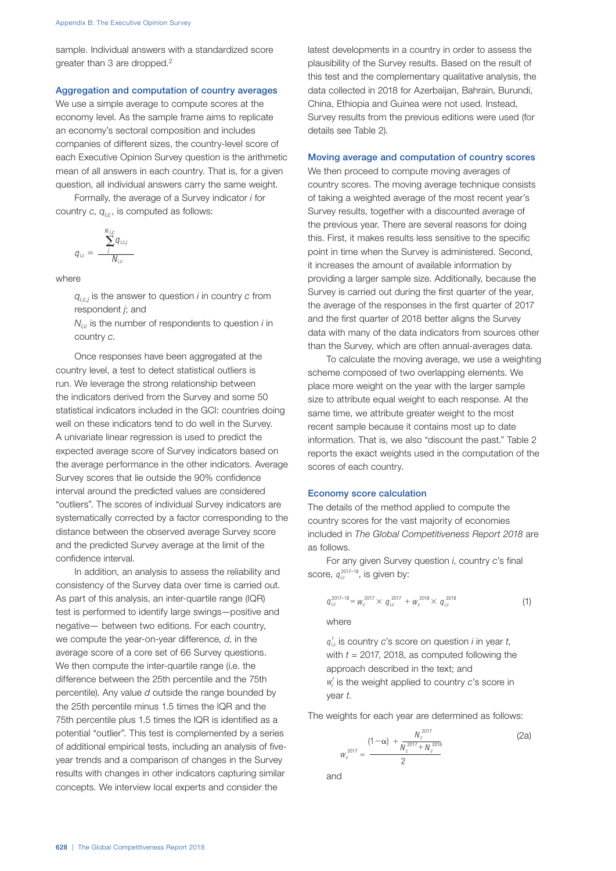sample. Individual answers with a standardized score greater than 3 are dropped.2

### Aggregation and computation of country averages

We use a simple average to compute scores at the economy level. As the sample frame aims to replicate an economy's sectoral composition and includes companies of different sizes, the country-level score of each Executive Opinion Survey question is the arithmetic mean of all answers in each country. That is, for a given question, all individual answers carry the same weight.

Formally, the average of a Survey indicator *i* for country *c*, *qi,c*, is computed as follows:

$$
q_{i,c} = \frac{\sum_{j}^{N_{i,c}} q_{i,c,j}}{N_{i,c}}
$$

where

*qi,c,j* is the answer to question *i* in country *c* from respondent *j*; and

*Ni,c* is the number of respondents to question *i* in country *c*.

Once responses have been aggregated at the country level, a test to detect statistical outliers is run. We leverage the strong relationship between the indicators derived from the Survey and some 50 statistical indicators included in the GCI: countries doing well on these indicators tend to do well in the Survey. A univariate linear regression is used to predict the expected average score of Survey indicators based on the average performance in the other indicators. Average Survey scores that lie outside the 90% confidence interval around the predicted values are considered "outliers". The scores of individual Survey indicators are systematically corrected by a factor corresponding to the distance between the observed average Survey score and the predicted Survey average at the limit of the confidence interval.

In addition, an analysis to assess the reliability and consistency of the Survey data over time is carried out. As part of this analysis, an inter-quartile range (IQR) test is performed to identify large swings—positive and negative— between two editions. For each country, we compute the year-on-year difference, *d*, in the average score of a core set of 66 Survey questions. We then compute the inter-quartile range (i.e. the difference between the 25th percentile and the 75th percentile). Any value *d* outside the range bounded by the 25th percentile minus 1.5 times the IQR and the 75th percentile plus 1.5 times the IQR is identified as a potential "outlier". This test is complemented by a series of additional empirical tests, including an analysis of fiveyear trends and a comparison of changes in the Survey results with changes in other indicators capturing similar concepts. We interview local experts and consider the

latest developments in a country in order to assess the plausibility of the Survey results. Based on the result of this test and the complementary qualitative analysis, the data collected in 2018 for Azerbaijan, Bahrain, Burundi, China, Ethiopia and Guinea were not used. Instead, Survey results from the previous editions were used (for details see Table 2).

#### Moving average and computation of country scores

We then proceed to compute moving averages of country scores. The moving average technique consists of taking a weighted average of the most recent year's Survey results, together with a discounted average of the previous year. There are several reasons for doing this. First, it makes results less sensitive to the specific point in time when the Survey is administered. Second, it increases the amount of available information by providing a larger sample size. Additionally, because the Survey is carried out during the first quarter of the year, the average of the responses in the first quarter of 2017 and the first quarter of 2018 better aligns the Survey data with many of the data indicators from sources other than the Survey, which are often annual-averages data.

To calculate the moving average, we use a weighting scheme composed of two overlapping elements. We place more weight on the year with the larger sample size to attribute equal weight to each response. At the same time, we attribute greater weight to the most recent sample because it contains most up to date information. That is, we also "discount the past." Table 2 reports the exact weights used in the computation of the scores of each country.

#### Economy score calculation

The details of the method applied to compute the country scores for the vast majority of economies included in *The Global Competitiveness Report 2018* are as follows.

For any given Survey question *i*, country *c*'s final score,  $q_{i,c}^{2017-18}$ , is given by:

$$
q_{i,c}^{2017-18} = w_c^{2017} \times q_{i,c}^{2017} + w_c^{2018} \times q_{i,c}^{2018}
$$
 (1)

where

 $q_{i,c}^t$  is country *c*'s score on question *i* in year *t*, with  $t = 2017$ , 2018, as computed following the approach described in the text; and  $w_c^t$  is the weight applied to country *c*'s score in year *t*.

The weights for each year are determined as follows:

$$
w_c^{2017} = \frac{(1-\alpha) + \frac{N_c^{2017}}{N_c^{2017} + N_c^{2018}}}{2}
$$
 (2a)

and